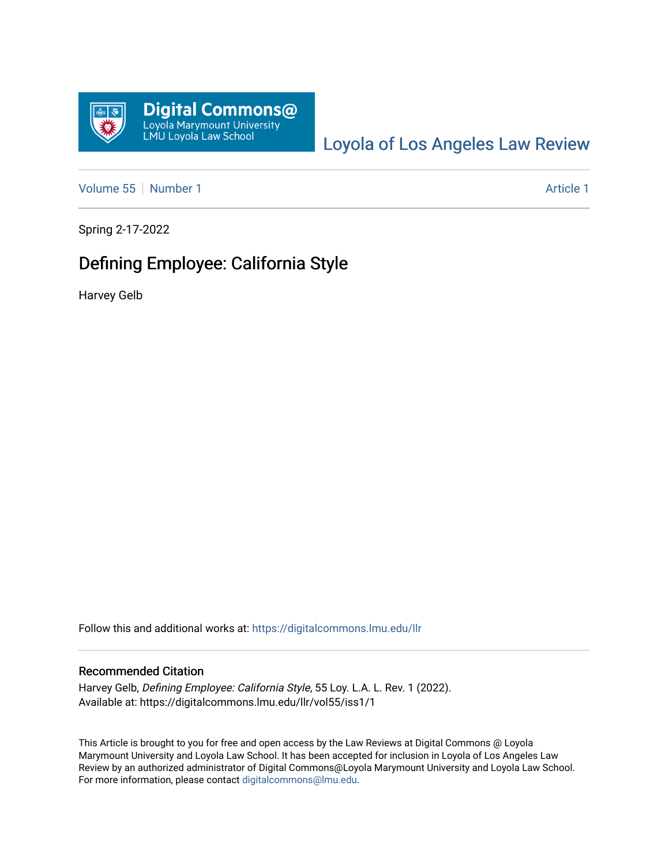

# [Loyola of Los Angeles Law Review](https://digitalcommons.lmu.edu/llr)

[Volume 55](https://digitalcommons.lmu.edu/llr/vol55) [Number 1](https://digitalcommons.lmu.edu/llr/vol55/iss1) Article 1

Spring 2-17-2022

# Defining Employee: California Style

Harvey Gelb

Follow this and additional works at: [https://digitalcommons.lmu.edu/llr](https://digitalcommons.lmu.edu/llr?utm_source=digitalcommons.lmu.edu%2Fllr%2Fvol55%2Fiss1%2F1&utm_medium=PDF&utm_campaign=PDFCoverPages) 

### Recommended Citation

Harvey Gelb, Defining Employee: California Style, 55 Loy. L.A. L. Rev. 1 (2022). Available at: https://digitalcommons.lmu.edu/llr/vol55/iss1/1

This Article is brought to you for free and open access by the Law Reviews at Digital Commons @ Loyola Marymount University and Loyola Law School. It has been accepted for inclusion in Loyola of Los Angeles Law Review by an authorized administrator of Digital Commons@Loyola Marymount University and Loyola Law School. For more information, please contact [digitalcommons@lmu.edu.](mailto:digitalcommons@lmu.edu)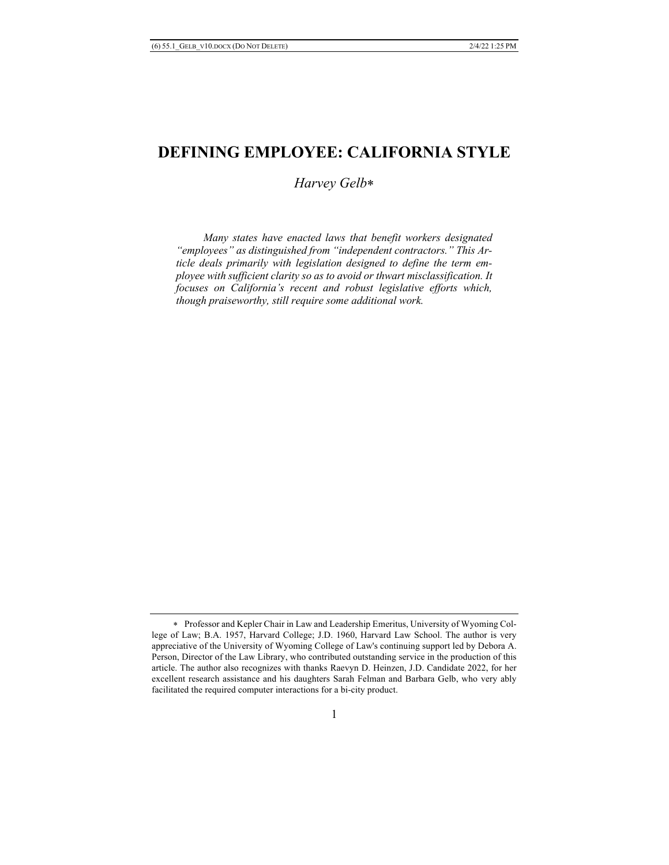# **DEFINING EMPLOYEE: CALIFORNIA STYLE**

*Harvey Gelb*\*

 *Many states have enacted laws that benefit workers designated "employees" as distinguished from "independent contractors." This Article deals primarily with legislation designed to define the term employee with sufficient clarity so as to avoid or thwart misclassification. It focuses on California's recent and robust legislative efforts which, though praiseworthy, still require some additional work.*

<sup>\*</sup> Professor and Kepler Chair in Law and Leadership Emeritus, University of Wyoming College of Law; B.A. 1957, Harvard College; J.D. 1960, Harvard Law School. The author is very appreciative of the University of Wyoming College of Law's continuing support led by Debora A. Person, Director of the Law Library, who contributed outstanding service in the production of this article. The author also recognizes with thanks Raevyn D. Heinzen, J.D. Candidate 2022, for her excellent research assistance and his daughters Sarah Felman and Barbara Gelb, who very ably facilitated the required computer interactions for a bi-city product.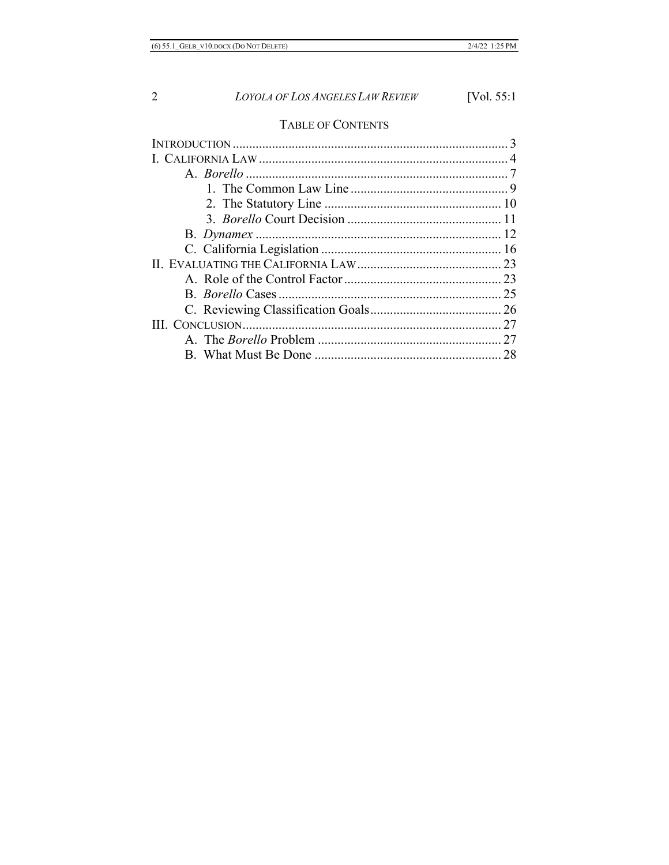# TABLE OF CONTENTS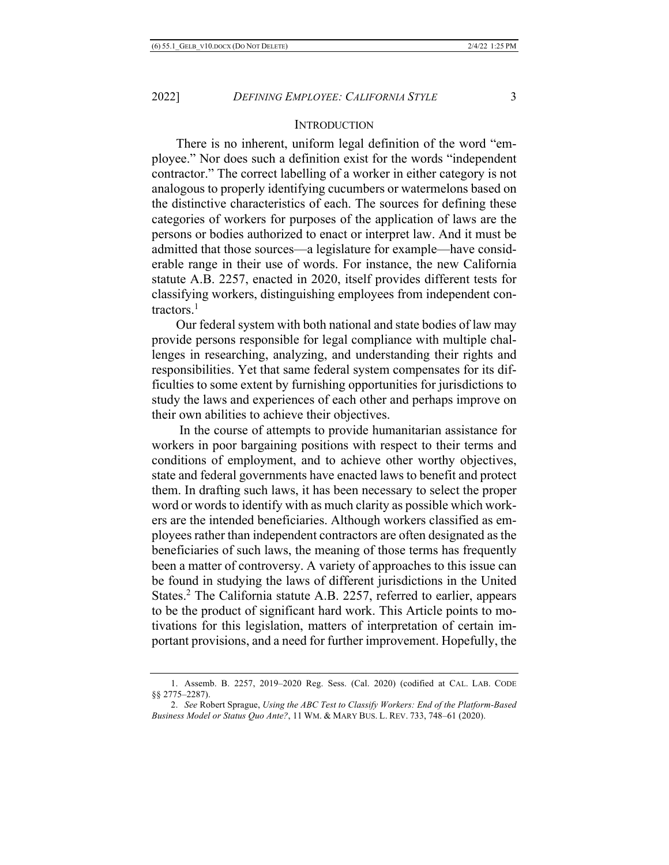### **INTRODUCTION**

There is no inherent, uniform legal definition of the word "employee." Nor does such a definition exist for the words "independent contractor." The correct labelling of a worker in either category is not analogous to properly identifying cucumbers or watermelons based on the distinctive characteristics of each. The sources for defining these categories of workers for purposes of the application of laws are the persons or bodies authorized to enact or interpret law. And it must be admitted that those sources—a legislature for example—have considerable range in their use of words. For instance, the new California statute A.B. 2257, enacted in 2020, itself provides different tests for classifying workers, distinguishing employees from independent contractors.1

Our federal system with both national and state bodies of law may provide persons responsible for legal compliance with multiple challenges in researching, analyzing, and understanding their rights and responsibilities. Yet that same federal system compensates for its difficulties to some extent by furnishing opportunities for jurisdictions to study the laws and experiences of each other and perhaps improve on their own abilities to achieve their objectives.

In the course of attempts to provide humanitarian assistance for workers in poor bargaining positions with respect to their terms and conditions of employment, and to achieve other worthy objectives, state and federal governments have enacted laws to benefit and protect them. In drafting such laws, it has been necessary to select the proper word or words to identify with as much clarity as possible which workers are the intended beneficiaries. Although workers classified as employees rather than independent contractors are often designated as the beneficiaries of such laws, the meaning of those terms has frequently been a matter of controversy. A variety of approaches to this issue can be found in studying the laws of different jurisdictions in the United States.<sup>2</sup> The California statute A.B. 2257, referred to earlier, appears to be the product of significant hard work. This Article points to motivations for this legislation, matters of interpretation of certain important provisions, and a need for further improvement. Hopefully, the

<sup>1.</sup> Assemb. B. 2257, 2019–2020 Reg. Sess. (Cal. 2020) (codified at CAL. LAB. CODE §§ 2775–2287).

<sup>2.</sup> *See* Robert Sprague, *Using the ABC Test to Classify Workers: End of the Platform-Based Business Model or Status Quo Ante?*, 11 WM. & MARY BUS. L. REV. 733, 748–61 (2020).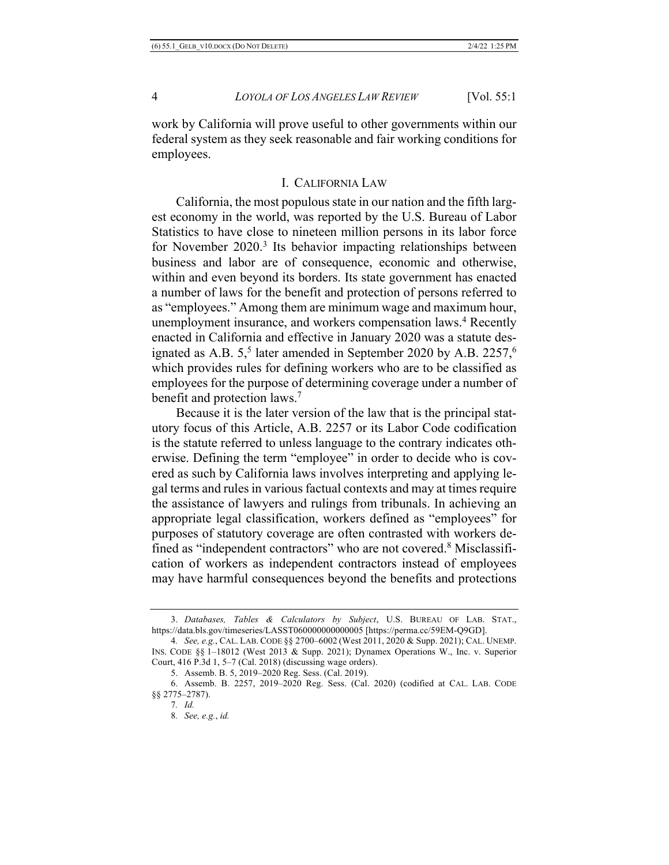work by California will prove useful to other governments within our federal system as they seek reasonable and fair working conditions for employees.

# I. CALIFORNIA LAW

California, the most populous state in our nation and the fifth largest economy in the world, was reported by the U.S. Bureau of Labor Statistics to have close to nineteen million persons in its labor force for November 2020.<sup>3</sup> Its behavior impacting relationships between business and labor are of consequence, economic and otherwise, within and even beyond its borders. Its state government has enacted a number of laws for the benefit and protection of persons referred to as "employees." Among them are minimum wage and maximum hour, unemployment insurance, and workers compensation laws.<sup>4</sup> Recently enacted in California and effective in January 2020 was a statute designated as A.B.  $5<sup>5</sup>$  later amended in September 2020 by A.B. 2257,<sup>6</sup> which provides rules for defining workers who are to be classified as employees for the purpose of determining coverage under a number of benefit and protection laws.7

Because it is the later version of the law that is the principal statutory focus of this Article, A.B. 2257 or its Labor Code codification is the statute referred to unless language to the contrary indicates otherwise. Defining the term "employee" in order to decide who is covered as such by California laws involves interpreting and applying legal terms and rules in various factual contexts and may at times require the assistance of lawyers and rulings from tribunals. In achieving an appropriate legal classification, workers defined as "employees" for purposes of statutory coverage are often contrasted with workers defined as "independent contractors" who are not covered.<sup>8</sup> Misclassification of workers as independent contractors instead of employees may have harmful consequences beyond the benefits and protections

<sup>3.</sup> *Databases, Tables & Calculators by Subject*, U.S. BUREAU OF LAB. STAT., https://data.bls.gov/timeseries/LASST060000000000005 [https://perma.cc/59EM-Q9GD].

<sup>4</sup>*. See, e.g.*, CAL. LAB. CODE §§ 2700–6002 (West 2011, 2020 & Supp. 2021); CAL. UNEMP. INS. CODE §§ 1–18012 (West 2013 & Supp. 2021); Dynamex Operations W., Inc. v. Superior Court, 416 P.3d 1, 5–7 (Cal. 2018) (discussing wage orders).

<sup>5.</sup> Assemb. B. 5, 2019–2020 Reg. Sess. (Cal. 2019).

<sup>6.</sup> Assemb. B. 2257, 2019–2020 Reg. Sess. (Cal. 2020) (codified at CAL. LAB. CODE §§ 2775–2787).

<sup>7</sup>*. Id.*

<sup>8</sup>*. See, e.g.*, *id.*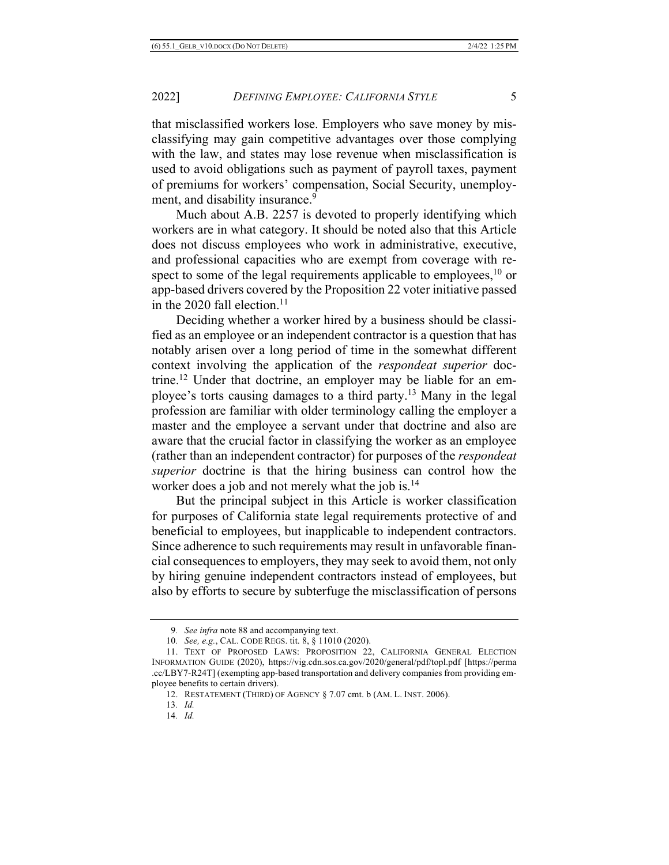that misclassified workers lose. Employers who save money by misclassifying may gain competitive advantages over those complying with the law, and states may lose revenue when misclassification is used to avoid obligations such as payment of payroll taxes, payment of premiums for workers' compensation, Social Security, unemployment, and disability insurance.<sup>9</sup>

Much about A.B. 2257 is devoted to properly identifying which workers are in what category. It should be noted also that this Article does not discuss employees who work in administrative, executive, and professional capacities who are exempt from coverage with respect to some of the legal requirements applicable to employees, $^{10}$  or app-based drivers covered by the Proposition 22 voter initiative passed in the 2020 fall election.<sup>11</sup>

Deciding whether a worker hired by a business should be classified as an employee or an independent contractor is a question that has notably arisen over a long period of time in the somewhat different context involving the application of the *respondeat superior* doctrine.12 Under that doctrine, an employer may be liable for an employee's torts causing damages to a third party.13 Many in the legal profession are familiar with older terminology calling the employer a master and the employee a servant under that doctrine and also are aware that the crucial factor in classifying the worker as an employee (rather than an independent contractor) for purposes of the *respondeat superior* doctrine is that the hiring business can control how the worker does a job and not merely what the job is.<sup>14</sup>

But the principal subject in this Article is worker classification for purposes of California state legal requirements protective of and beneficial to employees, but inapplicable to independent contractors. Since adherence to such requirements may result in unfavorable financial consequences to employers, they may seek to avoid them, not only by hiring genuine independent contractors instead of employees, but also by efforts to secure by subterfuge the misclassification of persons

14*. Id.*

<sup>9</sup>*. See infra* note 88 and accompanying text.

<sup>10</sup>*. See, e.g.*, CAL. CODE REGS. tit. 8, § 11010 (2020).

<sup>11.</sup> TEXT OF PROPOSED LAWS: PROPOSITION 22, CALIFORNIA GENERAL ELECTION INFORMATION GUIDE (2020), https://vig.cdn.sos.ca.gov/2020/general/pdf/topl.pdf [https://perma .cc/LBY7-R24T] (exempting app-based transportation and delivery companies from providing employee benefits to certain drivers).

<sup>12.</sup> RESTATEMENT (THIRD) OF AGENCY § 7.07 cmt. b (AM. L. INST. 2006).

<sup>13</sup>*. Id.*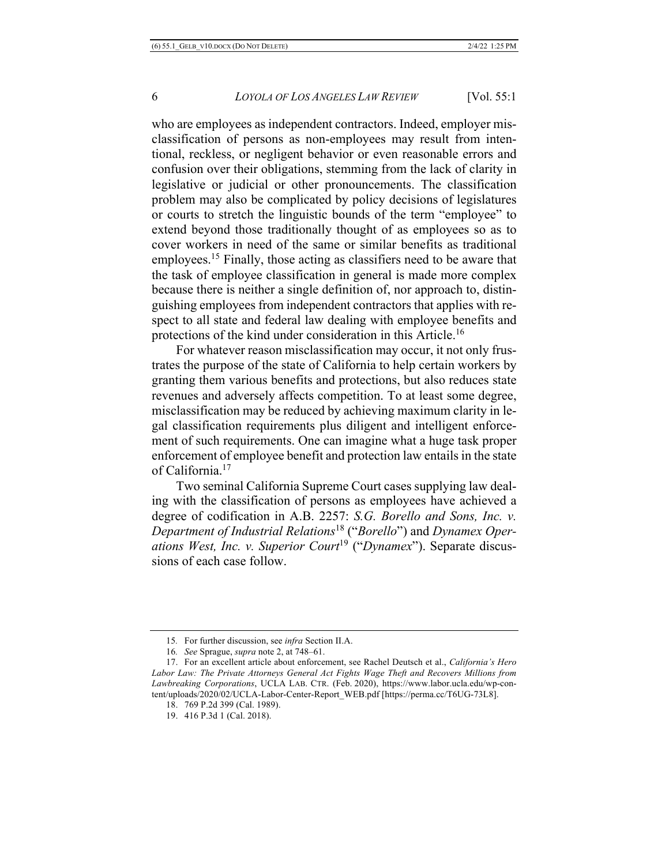who are employees as independent contractors. Indeed, employer misclassification of persons as non-employees may result from intentional, reckless, or negligent behavior or even reasonable errors and confusion over their obligations, stemming from the lack of clarity in legislative or judicial or other pronouncements. The classification problem may also be complicated by policy decisions of legislatures or courts to stretch the linguistic bounds of the term "employee" to extend beyond those traditionally thought of as employees so as to cover workers in need of the same or similar benefits as traditional employees.15 Finally, those acting as classifiers need to be aware that the task of employee classification in general is made more complex because there is neither a single definition of, nor approach to, distinguishing employees from independent contractors that applies with respect to all state and federal law dealing with employee benefits and protections of the kind under consideration in this Article.16

For whatever reason misclassification may occur, it not only frustrates the purpose of the state of California to help certain workers by granting them various benefits and protections, but also reduces state revenues and adversely affects competition. To at least some degree, misclassification may be reduced by achieving maximum clarity in legal classification requirements plus diligent and intelligent enforcement of such requirements. One can imagine what a huge task proper enforcement of employee benefit and protection law entails in the state of California.17

Two seminal California Supreme Court cases supplying law dealing with the classification of persons as employees have achieved a degree of codification in A.B. 2257: *S.G. Borello and Sons, Inc. v. Department of Industrial Relations*<sup>18</sup> ("*Borello*") and *Dynamex Operations West, Inc. v. Superior Court*<sup>19</sup> ("*Dynamex*"). Separate discussions of each case follow.

<sup>15</sup>*.* For further discussion, see *infra* Section II.A.

<sup>16</sup>*. See* Sprague, *supra* note 2, at 748–61.

<sup>17.</sup> For an excellent article about enforcement, see Rachel Deutsch et al., *California's Hero Labor Law: The Private Attorneys General Act Fights Wage Theft and Recovers Millions from Lawbreaking Corporations*, UCLA LAB. CTR. (Feb. 2020), https://www.labor.ucla.edu/wp-content/uploads/2020/02/UCLA-Labor-Center-Report\_WEB.pdf [https://perma.cc/T6UG-73L8].

<sup>18.</sup> 769 P.2d 399 (Cal. 1989).

<sup>19.</sup> 416 P.3d 1 (Cal. 2018).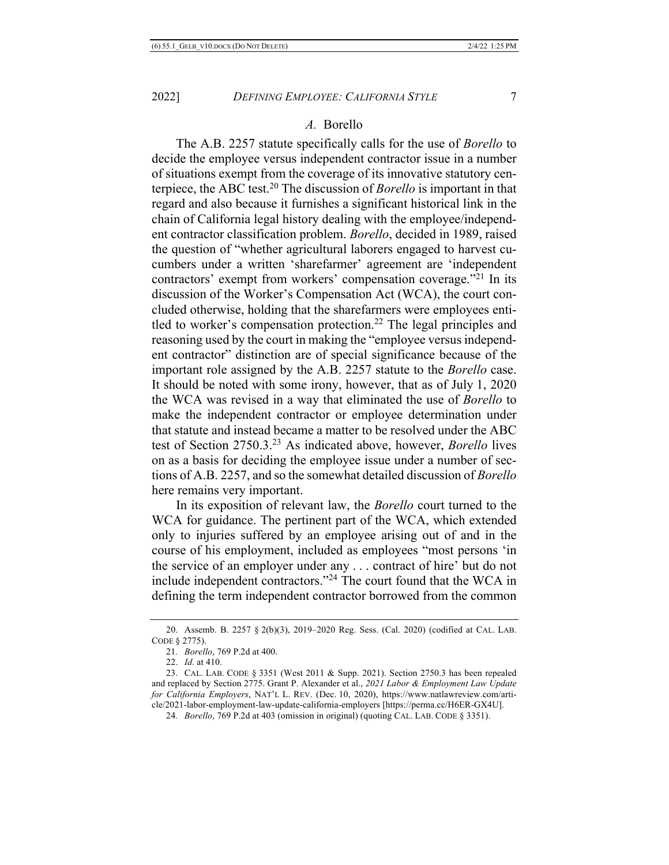#### *A.* Borello

The A.B. 2257 statute specifically calls for the use of *Borello* to decide the employee versus independent contractor issue in a number of situations exempt from the coverage of its innovative statutory centerpiece, the ABC test.20 The discussion of *Borello* is important in that regard and also because it furnishes a significant historical link in the chain of California legal history dealing with the employee/independent contractor classification problem. *Borello*, decided in 1989, raised the question of "whether agricultural laborers engaged to harvest cucumbers under a written 'sharefarmer' agreement are 'independent contractors' exempt from workers' compensation coverage."21 In its discussion of the Worker's Compensation Act (WCA), the court concluded otherwise, holding that the sharefarmers were employees entitled to worker's compensation protection.<sup>22</sup> The legal principles and reasoning used by the court in making the "employee versus independent contractor" distinction are of special significance because of the important role assigned by the A.B. 2257 statute to the *Borello* case. It should be noted with some irony, however, that as of July 1, 2020 the WCA was revised in a way that eliminated the use of *Borello* to make the independent contractor or employee determination under that statute and instead became a matter to be resolved under the ABC test of Section 2750.3. <sup>23</sup> As indicated above, however, *Borello* lives on as a basis for deciding the employee issue under a number of sections of A.B. 2257, and so the somewhat detailed discussion of *Borello* here remains very important.

In its exposition of relevant law, the *Borello* court turned to the WCA for guidance. The pertinent part of the WCA, which extended only to injuries suffered by an employee arising out of and in the course of his employment, included as employees "most persons 'in the service of an employer under any . . . contract of hire' but do not include independent contractors."24 The court found that the WCA in defining the term independent contractor borrowed from the common

<sup>20.</sup> Assemb. B. 2257 § 2(b)(3), 2019–2020 Reg. Sess. (Cal. 2020) (codified at CAL. LAB. CODE § 2775).

<sup>21</sup>*. Borello*, 769 P.2d at 400.

<sup>22.</sup> *Id.* at 410.

<sup>23.</sup> CAL. LAB. CODE § 3351 (West 2011 & Supp. 2021). Section 2750.3 has been repealed and replaced by Section 2775. Grant P. Alexander et al., *2021 Labor & Employment Law Update for California Employers*, NAT'L L. REV. (Dec. 10, 2020), https://www.natlawreview.com/article/2021-labor-employment-law-update-california-employers [https://perma.cc/H6ER-GX4U].

<sup>24</sup>*. Borello*, 769 P.2d at 403 (omission in original) (quoting CAL. LAB. CODE § 3351).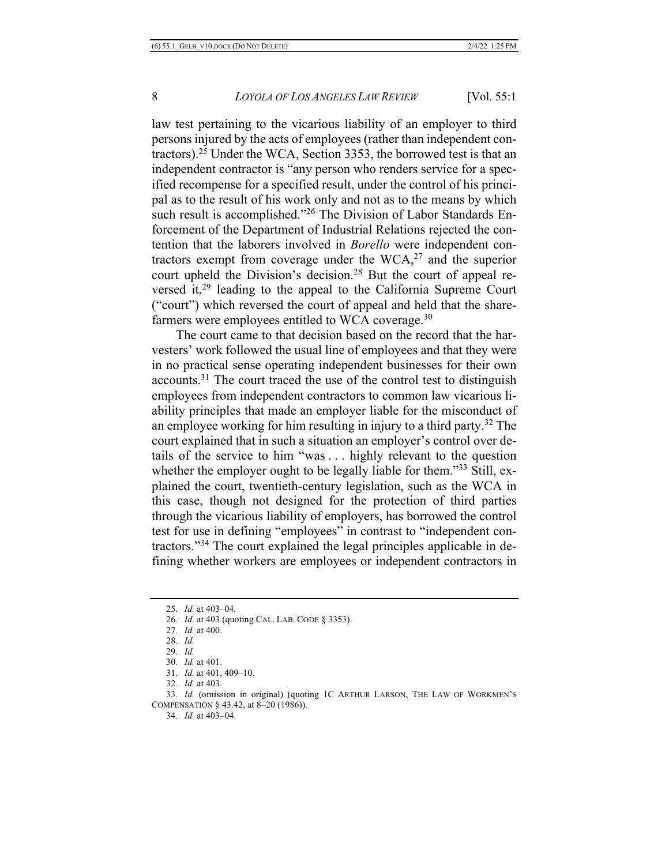law test pertaining to the vicarious liability of an employer to third persons injured by the acts of employees (rather than independent contractors).25 Under the WCA, Section 3353, the borrowed test is that an independent contractor is "any person who renders service for a specified recompense for a specified result, under the control of his principal as to the result of his work only and not as to the means by which such result is accomplished."26 The Division of Labor Standards Enforcement of the Department of Industrial Relations rejected the contention that the laborers involved in *Borello* were independent contractors exempt from coverage under the  $WCA<sub>1</sub><sup>27</sup>$  and the superior court upheld the Division's decision.<sup>28</sup> But the court of appeal reversed it,<sup>29</sup> leading to the appeal to the California Supreme Court ("court") which reversed the court of appeal and held that the sharefarmers were employees entitled to WCA coverage.<sup>30</sup>

The court came to that decision based on the record that the harvesters' work followed the usual line of employees and that they were in no practical sense operating independent businesses for their own accounts.31 The court traced the use of the control test to distinguish employees from independent contractors to common law vicarious liability principles that made an employer liable for the misconduct of an employee working for him resulting in injury to a third party.32 The court explained that in such a situation an employer's control over details of the service to him "was . . . highly relevant to the question whether the employer ought to be legally liable for them."<sup>33</sup> Still, explained the court, twentieth-century legislation, such as the WCA in this case, though not designed for the protection of third parties through the vicarious liability of employers, has borrowed the control test for use in defining "employees" in contrast to "independent contractors."34 The court explained the legal principles applicable in defining whether workers are employees or independent contractors in

- 28*. Id.*
- 29*. Id.*
- 30*. Id.* at 401.
- 31*. Id.* at 401, 409–10.
- 32*. Id.* at 403.

33*. Id.* (omission in original) (quoting 1C ARTHUR LARSON, THE LAW OF WORKMEN'S COMPENSATION § 43.42, at 8–20 (1986)).

34*. Id.* at 403–04.

<sup>25</sup>*. Id.* at 403–04.

<sup>26</sup>*. Id.* at 403 (quoting CAL. LAB. CODE § 3353).

<sup>27</sup>*. Id.* at 400.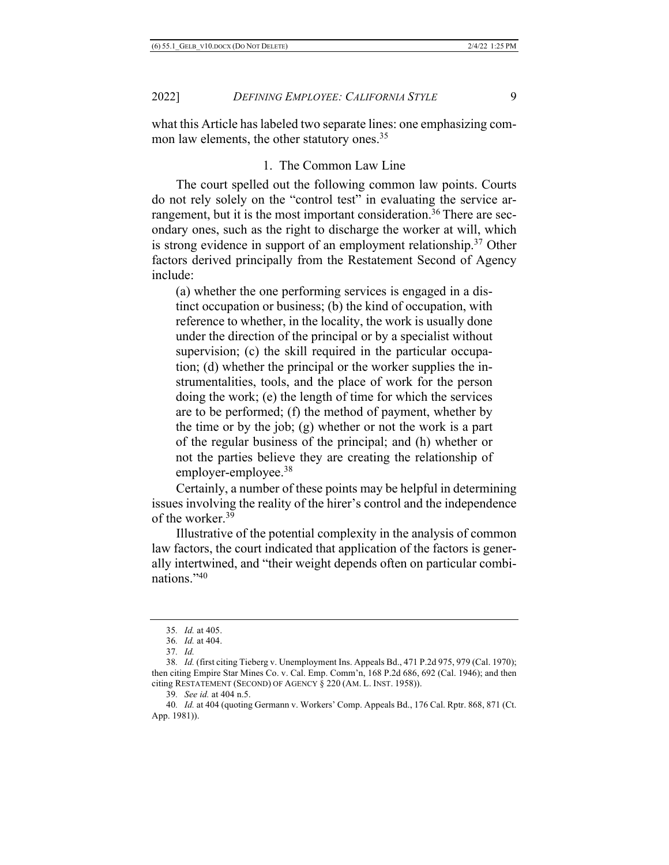what this Article has labeled two separate lines: one emphasizing common law elements, the other statutory ones.<sup>35</sup>

# 1. The Common Law Line

The court spelled out the following common law points. Courts do not rely solely on the "control test" in evaluating the service arrangement, but it is the most important consideration.<sup>36</sup> There are secondary ones, such as the right to discharge the worker at will, which is strong evidence in support of an employment relationship.<sup>37</sup> Other factors derived principally from the Restatement Second of Agency include:

(a) whether the one performing services is engaged in a distinct occupation or business; (b) the kind of occupation, with reference to whether, in the locality, the work is usually done under the direction of the principal or by a specialist without supervision; (c) the skill required in the particular occupation; (d) whether the principal or the worker supplies the instrumentalities, tools, and the place of work for the person doing the work; (e) the length of time for which the services are to be performed; (f) the method of payment, whether by the time or by the job; (g) whether or not the work is a part of the regular business of the principal; and (h) whether or not the parties believe they are creating the relationship of employer-employee.38

Certainly, a number of these points may be helpful in determining issues involving the reality of the hirer's control and the independence of the worker.39

Illustrative of the potential complexity in the analysis of common law factors, the court indicated that application of the factors is generally intertwined, and "their weight depends often on particular combinations."40

<sup>35</sup>*. Id.* at 405.

<sup>36</sup>*. Id.* at 404.

<sup>37</sup>*. Id.*

<sup>38</sup>*. Id.* (first citing Tieberg v. Unemployment Ins. Appeals Bd., 471 P.2d 975, 979 (Cal. 1970); then citing Empire Star Mines Co. v. Cal. Emp. Comm'n, 168 P.2d 686, 692 (Cal. 1946); and then citing RESTATEMENT (SECOND) OF AGENCY § 220 (AM. L. INST. 1958)).

<sup>39</sup>*. See id.* at 404 n.5.

<sup>40</sup>*. Id.* at 404 (quoting Germann v. Workers' Comp. Appeals Bd., 176 Cal. Rptr. 868, 871 (Ct. App. 1981)).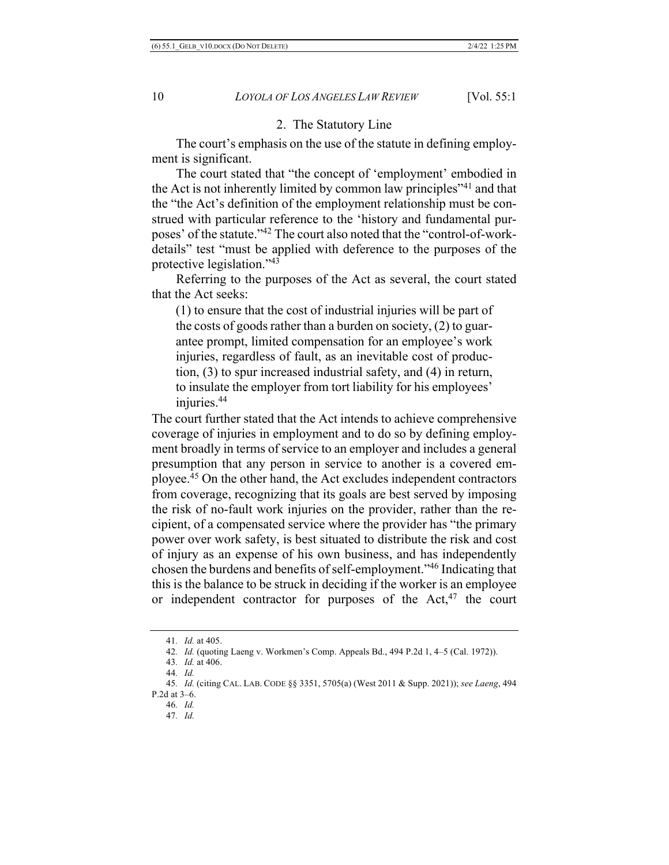### 2. The Statutory Line

The court's emphasis on the use of the statute in defining employment is significant.

The court stated that "the concept of 'employment' embodied in the Act is not inherently limited by common law principles"41 and that the "the Act's definition of the employment relationship must be construed with particular reference to the 'history and fundamental purposes' of the statute."42 The court also noted that the "control-of-workdetails" test "must be applied with deference to the purposes of the protective legislation."43

Referring to the purposes of the Act as several, the court stated that the Act seeks:

(1) to ensure that the cost of industrial injuries will be part of the costs of goods rather than a burden on society, (2) to guarantee prompt, limited compensation for an employee's work injuries, regardless of fault, as an inevitable cost of production, (3) to spur increased industrial safety, and (4) in return, to insulate the employer from tort liability for his employees' injuries.44

The court further stated that the Act intends to achieve comprehensive coverage of injuries in employment and to do so by defining employment broadly in terms of service to an employer and includes a general presumption that any person in service to another is a covered employee.45 On the other hand, the Act excludes independent contractors from coverage, recognizing that its goals are best served by imposing the risk of no-fault work injuries on the provider, rather than the recipient, of a compensated service where the provider has "the primary power over work safety, is best situated to distribute the risk and cost of injury as an expense of his own business, and has independently chosen the burdens and benefits of self-employment."46 Indicating that this is the balance to be struck in deciding if the worker is an employee or independent contractor for purposes of the  $Act<sub>1</sub><sup>47</sup>$  the court

46*. Id.*

<sup>41</sup>*. Id.* at 405.

<sup>42</sup>*. Id.* (quoting Laeng v. Workmen's Comp. Appeals Bd., 494 P.2d 1, 4–5 (Cal. 1972)).

<sup>43</sup>*. Id.* at 406.

<sup>44</sup>*. Id.*

<sup>45</sup>*. Id.* (citing CAL. LAB. CODE §§ 3351, 5705(a) (West 2011 & Supp. 2021)); *see Laeng*, 494 P.2d at 3–6.

<sup>47</sup>*. Id.*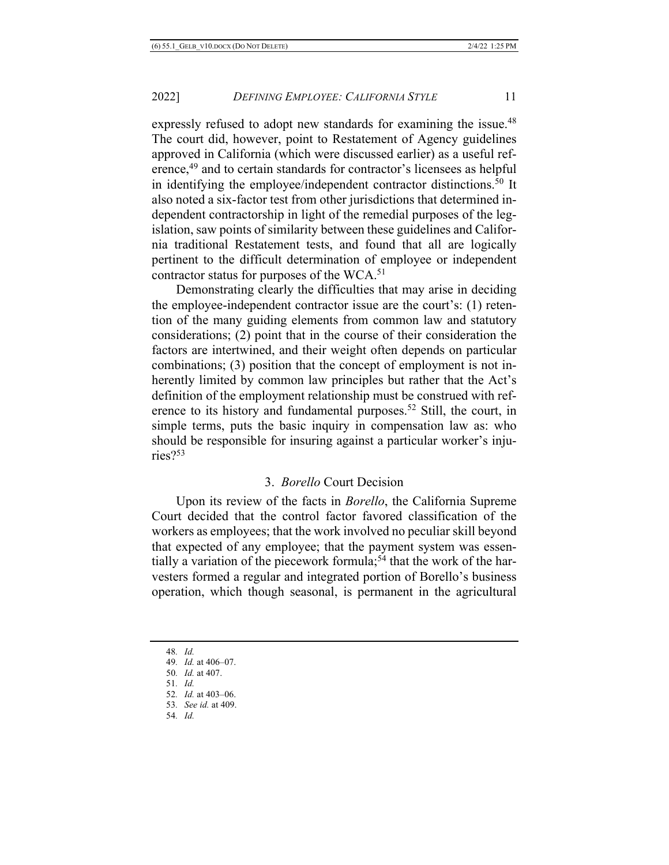expressly refused to adopt new standards for examining the issue.<sup>48</sup> The court did, however, point to Restatement of Agency guidelines approved in California (which were discussed earlier) as a useful reference,49 and to certain standards for contractor's licensees as helpful in identifying the employee/independent contractor distinctions.<sup>50</sup> It also noted a six-factor test from other jurisdictions that determined independent contractorship in light of the remedial purposes of the legislation, saw points of similarity between these guidelines and California traditional Restatement tests, and found that all are logically pertinent to the difficult determination of employee or independent contractor status for purposes of the WCA.<sup>51</sup>

Demonstrating clearly the difficulties that may arise in deciding the employee-independent contractor issue are the court's: (1) retention of the many guiding elements from common law and statutory considerations; (2) point that in the course of their consideration the factors are intertwined, and their weight often depends on particular combinations; (3) position that the concept of employment is not inherently limited by common law principles but rather that the Act's definition of the employment relationship must be construed with reference to its history and fundamental purposes.<sup>52</sup> Still, the court, in simple terms, puts the basic inquiry in compensation law as: who should be responsible for insuring against a particular worker's injuries?53

# 3. *Borello* Court Decision

Upon its review of the facts in *Borello*, the California Supreme Court decided that the control factor favored classification of the workers as employees; that the work involved no peculiar skill beyond that expected of any employee; that the payment system was essentially a variation of the piecework formula;<sup>54</sup> that the work of the harvesters formed a regular and integrated portion of Borello's business operation, which though seasonal, is permanent in the agricultural

<sup>48</sup>*. Id.*

<sup>49</sup>*. Id.* at 406–07.

<sup>50</sup>*. Id.* at 407.

<sup>51</sup>*. Id.*

<sup>52</sup>*. Id.* at 403–06.

<sup>53</sup>*. See id.* at 409.

<sup>54</sup>*. Id.*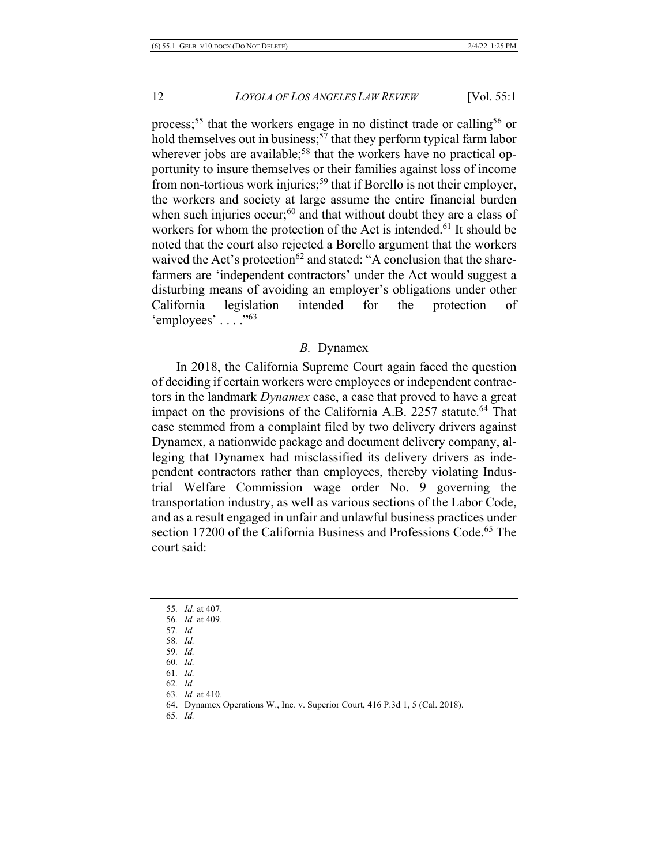process;<sup>55</sup> that the workers engage in no distinct trade or calling<sup>56</sup> or hold themselves out in business;  $57$  that they perform typical farm labor wherever jobs are available;<sup>58</sup> that the workers have no practical opportunity to insure themselves or their families against loss of income from non-tortious work injuries;<sup>59</sup> that if Borello is not their employer, the workers and society at large assume the entire financial burden when such injuries occur; $60$  and that without doubt they are a class of workers for whom the protection of the Act is intended.<sup>61</sup> It should be noted that the court also rejected a Borello argument that the workers waived the Act's protection<sup>62</sup> and stated: "A conclusion that the sharefarmers are 'independent contractors' under the Act would suggest a disturbing means of avoiding an employer's obligations under other California legislation intended for the protection of 'employees' . . . . "63

# *B.* Dynamex

In 2018, the California Supreme Court again faced the question of deciding if certain workers were employees or independent contractors in the landmark *Dynamex* case, a case that proved to have a great impact on the provisions of the California A.B. 2257 statute.<sup>64</sup> That case stemmed from a complaint filed by two delivery drivers against Dynamex, a nationwide package and document delivery company, alleging that Dynamex had misclassified its delivery drivers as independent contractors rather than employees, thereby violating Industrial Welfare Commission wage order No. 9 governing the transportation industry, as well as various sections of the Labor Code, and as a result engaged in unfair and unlawful business practices under section 17200 of the California Business and Professions Code.<sup>65</sup> The court said:

- 57*. Id.*
- 58*. Id.*
- 59*. Id.* 60*. Id.*
- 61*. Id.*
- 62*. Id.*
- 63*. Id.* at 410.
- 64. Dynamex Operations W., Inc. v. Superior Court, 416 P.3d 1, 5 (Cal. 2018).
- 65*. Id.*

<sup>55</sup>*. Id.* at 407.

<sup>56</sup>*. Id.* at 409.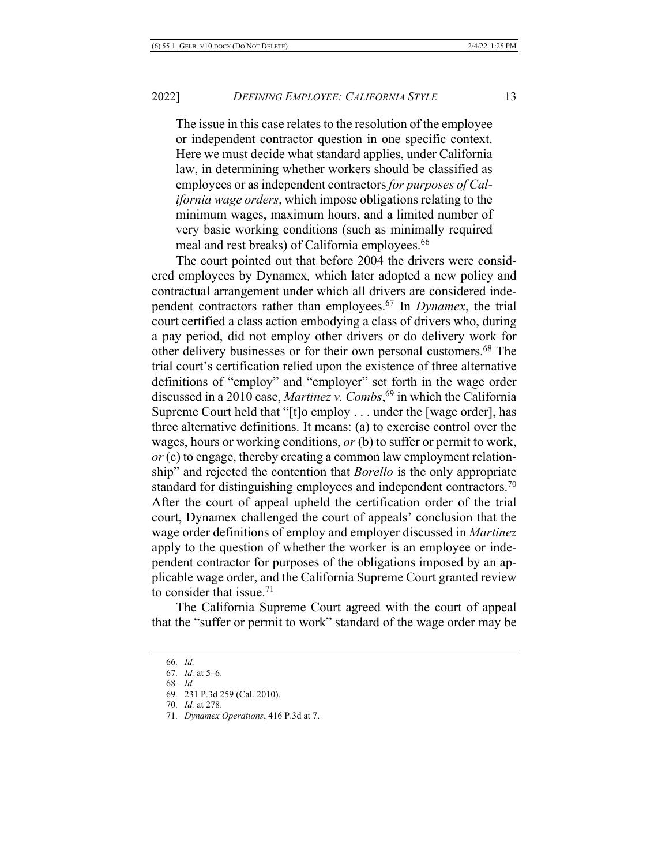The issue in this case relates to the resolution of the employee or independent contractor question in one specific context. Here we must decide what standard applies, under California law, in determining whether workers should be classified as employees or as independent contractors *for purposes of California wage orders*, which impose obligations relating to the minimum wages, maximum hours, and a limited number of very basic working conditions (such as minimally required meal and rest breaks) of California employees.<sup>66</sup>

The court pointed out that before 2004 the drivers were considered employees by Dynamex*,* which later adopted a new policy and contractual arrangement under which all drivers are considered independent contractors rather than employees.67 In *Dynamex*, the trial court certified a class action embodying a class of drivers who, during a pay period, did not employ other drivers or do delivery work for other delivery businesses or for their own personal customers.68 The trial court's certification relied upon the existence of three alternative definitions of "employ" and "employer" set forth in the wage order discussed in a 2010 case, *Martinez v. Combs*, <sup>69</sup> in which the California Supreme Court held that "[t]o employ . . . under the [wage order], has three alternative definitions. It means: (a) to exercise control over the wages, hours or working conditions, *or* (b) to suffer or permit to work, *or* (c) to engage, thereby creating a common law employment relationship" and rejected the contention that *Borello* is the only appropriate standard for distinguishing employees and independent contractors.<sup>70</sup> After the court of appeal upheld the certification order of the trial court, Dynamex challenged the court of appeals' conclusion that the wage order definitions of employ and employer discussed in *Martinez*  apply to the question of whether the worker is an employee or independent contractor for purposes of the obligations imposed by an applicable wage order, and the California Supreme Court granted review to consider that issue.<sup>71</sup>

The California Supreme Court agreed with the court of appeal that the "suffer or permit to work" standard of the wage order may be

<sup>66</sup>*. Id.*

<sup>67</sup>*. Id.* at 5–6.

<sup>68</sup>*. Id.*

<sup>69</sup>*.* 231 P.3d 259 (Cal. 2010).

<sup>70</sup>*. Id.* at 278.

<sup>71</sup>*. Dynamex Operations*, 416 P.3d at 7.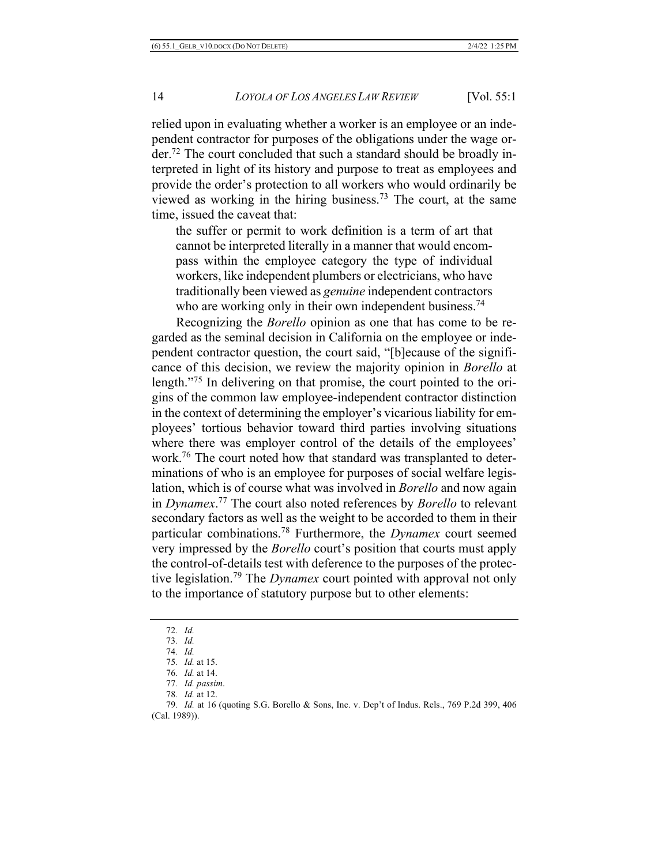relied upon in evaluating whether a worker is an employee or an independent contractor for purposes of the obligations under the wage order.72 The court concluded that such a standard should be broadly interpreted in light of its history and purpose to treat as employees and provide the order's protection to all workers who would ordinarily be viewed as working in the hiring business.73 The court, at the same time, issued the caveat that:

the suffer or permit to work definition is a term of art that cannot be interpreted literally in a manner that would encompass within the employee category the type of individual workers, like independent plumbers or electricians, who have traditionally been viewed as *genuine* independent contractors who are working only in their own independent business.<sup>74</sup>

Recognizing the *Borello* opinion as one that has come to be regarded as the seminal decision in California on the employee or independent contractor question, the court said, "[b]ecause of the significance of this decision, we review the majority opinion in *Borello* at length."75 In delivering on that promise, the court pointed to the origins of the common law employee-independent contractor distinction in the context of determining the employer's vicarious liability for employees' tortious behavior toward third parties involving situations where there was employer control of the details of the employees' work.76 The court noted how that standard was transplanted to determinations of who is an employee for purposes of social welfare legislation, which is of course what was involved in *Borello* and now again in *Dynamex*. <sup>77</sup> The court also noted references by *Borello* to relevant secondary factors as well as the weight to be accorded to them in their particular combinations.78 Furthermore, the *Dynamex* court seemed very impressed by the *Borello* court's position that courts must apply the control-of-details test with deference to the purposes of the protective legislation.79 The *Dynamex* court pointed with approval not only to the importance of statutory purpose but to other elements:

<sup>72</sup>*. Id.*

<sup>73</sup>*. Id.*

<sup>74</sup>*. Id.* 75*. Id.* at 15.

<sup>76</sup>*. Id.* at 14.

<sup>77</sup>*. Id. passim*.

<sup>78</sup>*. Id.* at 12.

<sup>79</sup>*. Id.* at 16 (quoting S.G. Borello & Sons, Inc. v. Dep't of Indus. Rels., 769 P.2d 399, 406 (Cal. 1989)).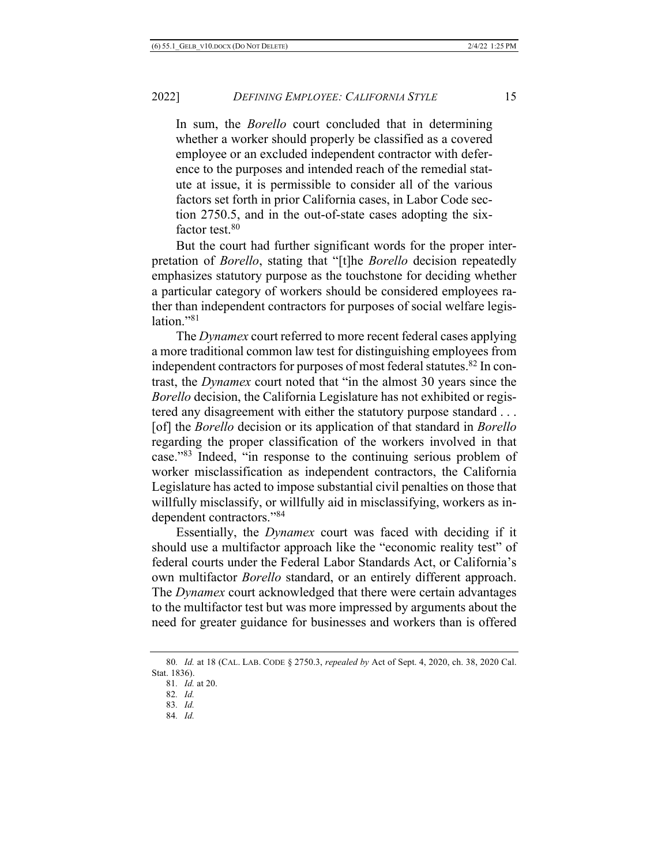In sum, the *Borello* court concluded that in determining whether a worker should properly be classified as a covered employee or an excluded independent contractor with deference to the purposes and intended reach of the remedial statute at issue, it is permissible to consider all of the various factors set forth in prior California cases, in Labor Code section 2750.5, and in the out-of-state cases adopting the sixfactor test.<sup>80</sup>

But the court had further significant words for the proper interpretation of *Borello*, stating that "[t]he *Borello* decision repeatedly emphasizes statutory purpose as the touchstone for deciding whether a particular category of workers should be considered employees rather than independent contractors for purposes of social welfare legislation."81

The *Dynamex* court referred to more recent federal cases applying a more traditional common law test for distinguishing employees from independent contractors for purposes of most federal statutes.<sup>82</sup> In contrast, the *Dynamex* court noted that "in the almost 30 years since the *Borello* decision, the California Legislature has not exhibited or registered any disagreement with either the statutory purpose standard . . . [of] the *Borello* decision or its application of that standard in *Borello* regarding the proper classification of the workers involved in that case."83 Indeed, "in response to the continuing serious problem of worker misclassification as independent contractors, the California Legislature has acted to impose substantial civil penalties on those that willfully misclassify, or willfully aid in misclassifying, workers as independent contractors."84

Essentially, the *Dynamex* court was faced with deciding if it should use a multifactor approach like the "economic reality test" of federal courts under the Federal Labor Standards Act, or California's own multifactor *Borello* standard, or an entirely different approach. The *Dynamex* court acknowledged that there were certain advantages to the multifactor test but was more impressed by arguments about the need for greater guidance for businesses and workers than is offered

<sup>80</sup>*. Id.* at 18 (CAL. LAB. CODE § 2750.3, *repealed by* Act of Sept. 4, 2020, ch. 38, 2020 Cal. Stat. 1836).

<sup>81</sup>*. Id.* at 20.

<sup>82</sup>*. Id.*

<sup>83</sup>*. Id.*

<sup>84</sup>*. Id.*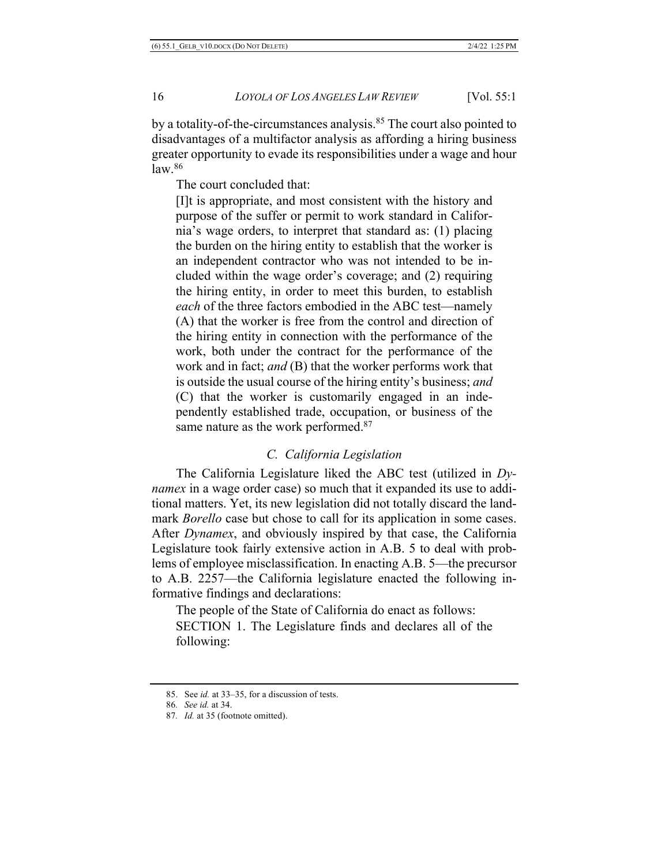by a totality-of-the-circumstances analysis.<sup>85</sup> The court also pointed to disadvantages of a multifactor analysis as affording a hiring business greater opportunity to evade its responsibilities under a wage and hour law.86

The court concluded that:

[I]t is appropriate, and most consistent with the history and purpose of the suffer or permit to work standard in California's wage orders, to interpret that standard as: (1) placing the burden on the hiring entity to establish that the worker is an independent contractor who was not intended to be included within the wage order's coverage; and (2) requiring the hiring entity, in order to meet this burden, to establish *each* of the three factors embodied in the ABC test—namely (A) that the worker is free from the control and direction of the hiring entity in connection with the performance of the work, both under the contract for the performance of the work and in fact; *and* (B) that the worker performs work that is outside the usual course of the hiring entity's business; *and* (C) that the worker is customarily engaged in an independently established trade, occupation, or business of the same nature as the work performed.<sup>87</sup>

# *C. California Legislation*

The California Legislature liked the ABC test (utilized in *Dynamex* in a wage order case) so much that it expanded its use to additional matters. Yet, its new legislation did not totally discard the landmark *Borello* case but chose to call for its application in some cases. After *Dynamex*, and obviously inspired by that case, the California Legislature took fairly extensive action in A.B. 5 to deal with problems of employee misclassification. In enacting A.B. 5—the precursor to A.B. 2257—the California legislature enacted the following informative findings and declarations:

The people of the State of California do enact as follows: SECTION 1. The Legislature finds and declares all of the following:

<sup>85.</sup> See *id.* at 33–35, for a discussion of tests.

<sup>86</sup>*. See id.* at 34.

<sup>87</sup>*. Id.* at 35 (footnote omitted).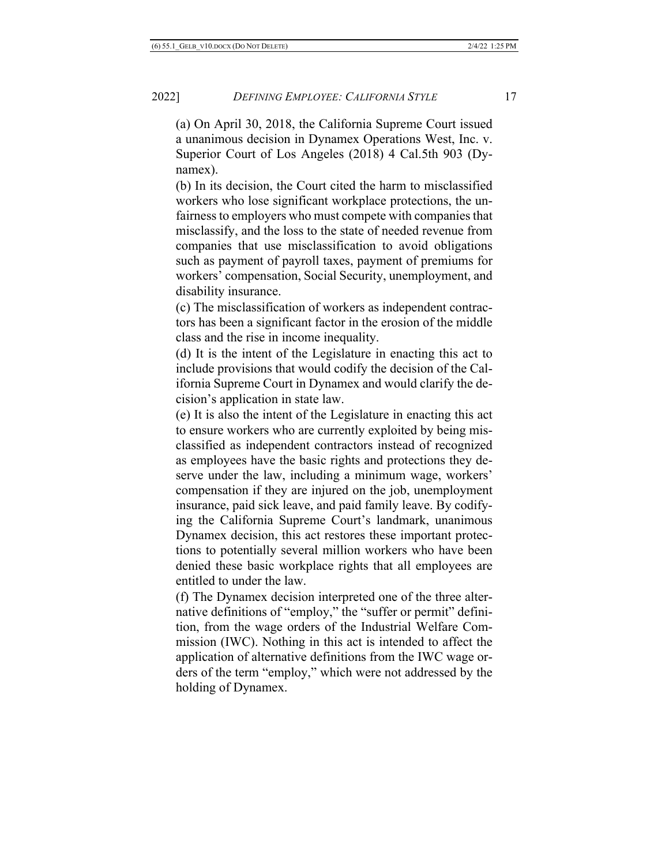(a) On April 30, 2018, the California Supreme Court issued a unanimous decision in Dynamex Operations West, Inc. v. Superior Court of Los Angeles (2018) 4 Cal.5th 903 (Dynamex).

(b) In its decision, the Court cited the harm to misclassified workers who lose significant workplace protections, the unfairness to employers who must compete with companies that misclassify, and the loss to the state of needed revenue from companies that use misclassification to avoid obligations such as payment of payroll taxes, payment of premiums for workers' compensation, Social Security, unemployment, and disability insurance.

(c) The misclassification of workers as independent contractors has been a significant factor in the erosion of the middle class and the rise in income inequality.

(d) It is the intent of the Legislature in enacting this act to include provisions that would codify the decision of the California Supreme Court in Dynamex and would clarify the decision's application in state law.

(e) It is also the intent of the Legislature in enacting this act to ensure workers who are currently exploited by being misclassified as independent contractors instead of recognized as employees have the basic rights and protections they deserve under the law, including a minimum wage, workers' compensation if they are injured on the job, unemployment insurance, paid sick leave, and paid family leave. By codifying the California Supreme Court's landmark, unanimous Dynamex decision, this act restores these important protections to potentially several million workers who have been denied these basic workplace rights that all employees are entitled to under the law.

(f) The Dynamex decision interpreted one of the three alternative definitions of "employ," the "suffer or permit" definition, from the wage orders of the Industrial Welfare Commission (IWC). Nothing in this act is intended to affect the application of alternative definitions from the IWC wage orders of the term "employ," which were not addressed by the holding of Dynamex.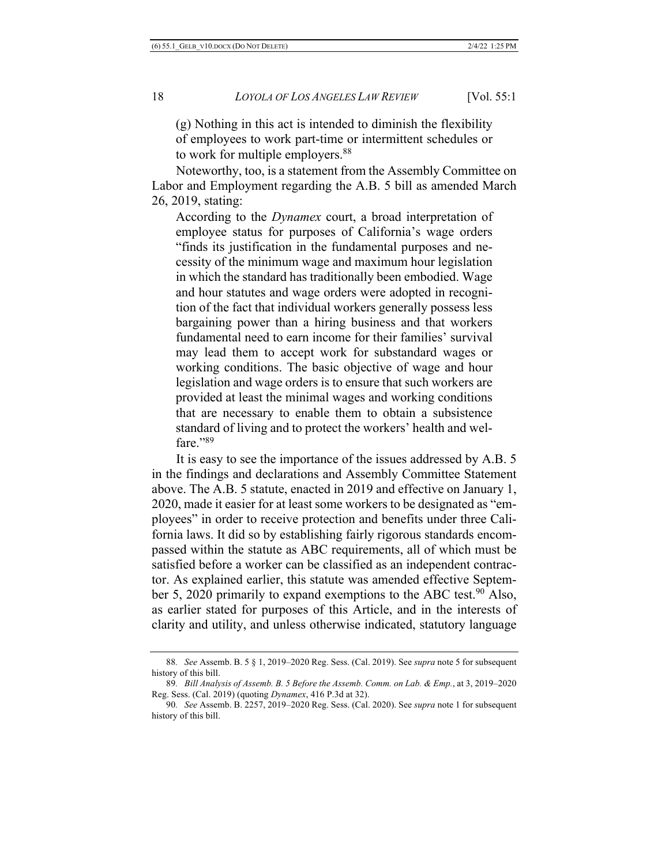(g) Nothing in this act is intended to diminish the flexibility of employees to work part-time or intermittent schedules or to work for multiple employers.<sup>88</sup>

Noteworthy, too, is a statement from the Assembly Committee on Labor and Employment regarding the A.B. 5 bill as amended March 26, 2019, stating:

According to the *Dynamex* court, a broad interpretation of employee status for purposes of California's wage orders "finds its justification in the fundamental purposes and necessity of the minimum wage and maximum hour legislation in which the standard has traditionally been embodied. Wage and hour statutes and wage orders were adopted in recognition of the fact that individual workers generally possess less bargaining power than a hiring business and that workers fundamental need to earn income for their families' survival may lead them to accept work for substandard wages or working conditions. The basic objective of wage and hour legislation and wage orders is to ensure that such workers are provided at least the minimal wages and working conditions that are necessary to enable them to obtain a subsistence standard of living and to protect the workers' health and welfare."89

It is easy to see the importance of the issues addressed by A.B. 5 in the findings and declarations and Assembly Committee Statement above. The A.B. 5 statute, enacted in 2019 and effective on January 1, 2020, made it easier for at least some workers to be designated as "employees" in order to receive protection and benefits under three California laws. It did so by establishing fairly rigorous standards encompassed within the statute as ABC requirements, all of which must be satisfied before a worker can be classified as an independent contractor. As explained earlier, this statute was amended effective September 5, 2020 primarily to expand exemptions to the ABC test.<sup>90</sup> Also, as earlier stated for purposes of this Article, and in the interests of clarity and utility, and unless otherwise indicated, statutory language

<sup>88</sup>*. See* Assemb. B. 5 § 1, 2019–2020 Reg. Sess. (Cal. 2019). See *supra* note 5 for subsequent history of this bill.

<sup>89</sup>*. Bill Analysis of Assemb. B. 5 Before the Assemb. Comm. on Lab. & Emp.*, at 3, 2019–2020 Reg. Sess. (Cal. 2019) (quoting *Dynamex*, 416 P.3d at 32).

<sup>90</sup>*. See* Assemb. B. 2257, 2019–2020 Reg. Sess. (Cal. 2020). See *supra* note 1 for subsequent history of this bill.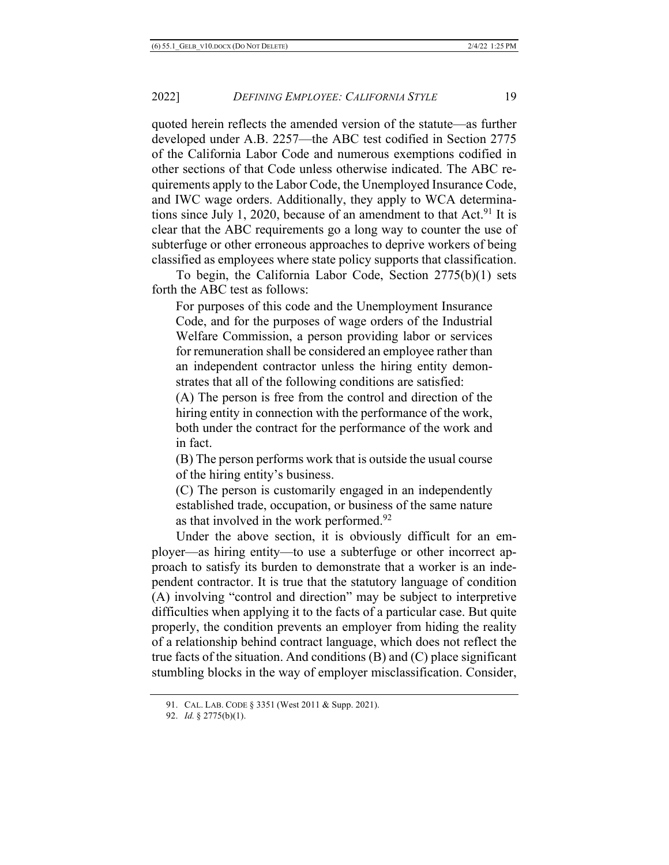quoted herein reflects the amended version of the statute—as further developed under A.B. 2257—the ABC test codified in Section 2775 of the California Labor Code and numerous exemptions codified in other sections of that Code unless otherwise indicated. The ABC requirements apply to the Labor Code, the Unemployed Insurance Code, and IWC wage orders. Additionally, they apply to WCA determinations since July 1, 2020, because of an amendment to that  $Act.^{91}$  It is clear that the ABC requirements go a long way to counter the use of subterfuge or other erroneous approaches to deprive workers of being classified as employees where state policy supports that classification.

To begin, the California Labor Code, Section 2775(b)(1) sets forth the ABC test as follows:

For purposes of this code and the Unemployment Insurance Code, and for the purposes of wage orders of the Industrial Welfare Commission, a person providing labor or services for remuneration shall be considered an employee rather than an independent contractor unless the hiring entity demonstrates that all of the following conditions are satisfied:

(A) The person is free from the control and direction of the hiring entity in connection with the performance of the work, both under the contract for the performance of the work and in fact.

(B) The person performs work that is outside the usual course of the hiring entity's business.

(C) The person is customarily engaged in an independently established trade, occupation, or business of the same nature as that involved in the work performed.92

Under the above section, it is obviously difficult for an employer—as hiring entity—to use a subterfuge or other incorrect approach to satisfy its burden to demonstrate that a worker is an independent contractor. It is true that the statutory language of condition (A) involving "control and direction" may be subject to interpretive difficulties when applying it to the facts of a particular case. But quite properly, the condition prevents an employer from hiding the reality of a relationship behind contract language, which does not reflect the true facts of the situation. And conditions (B) and (C) place significant stumbling blocks in the way of employer misclassification. Consider,

<sup>91.</sup> CAL. LAB. CODE § 3351 (West 2011 & Supp. 2021).

<sup>92.</sup> *Id.* § 2775(b)(1).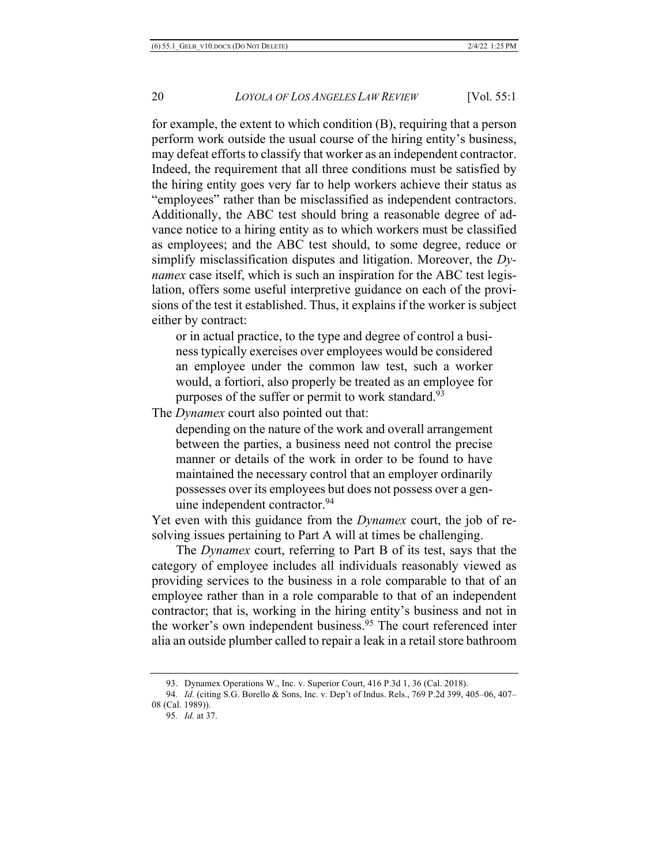for example, the extent to which condition (B), requiring that a person perform work outside the usual course of the hiring entity's business, may defeat efforts to classify that worker as an independent contractor. Indeed, the requirement that all three conditions must be satisfied by the hiring entity goes very far to help workers achieve their status as "employees" rather than be misclassified as independent contractors. Additionally, the ABC test should bring a reasonable degree of advance notice to a hiring entity as to which workers must be classified as employees; and the ABC test should, to some degree, reduce or simplify misclassification disputes and litigation. Moreover, the *Dynamex* case itself, which is such an inspiration for the ABC test legislation, offers some useful interpretive guidance on each of the provisions of the test it established. Thus, it explains if the worker is subject either by contract:

or in actual practice, to the type and degree of control a business typically exercises over employees would be considered an employee under the common law test, such a worker would, a fortiori, also properly be treated as an employee for purposes of the suffer or permit to work standard.<sup>93</sup>

The *Dynamex* court also pointed out that:

depending on the nature of the work and overall arrangement between the parties, a business need not control the precise manner or details of the work in order to be found to have maintained the necessary control that an employer ordinarily possesses over its employees but does not possess over a genuine independent contractor.<sup>94</sup>

Yet even with this guidance from the *Dynamex* court, the job of resolving issues pertaining to Part A will at times be challenging.

The *Dynamex* court, referring to Part B of its test, says that the category of employee includes all individuals reasonably viewed as providing services to the business in a role comparable to that of an employee rather than in a role comparable to that of an independent contractor; that is, working in the hiring entity's business and not in the worker's own independent business.<sup>95</sup> The court referenced inter alia an outside plumber called to repair a leak in a retail store bathroom

<sup>93.</sup> Dynamex Operations W., Inc. v. Superior Court, 416 P.3d 1, 36 (Cal. 2018).

<sup>94</sup>*. Id.* (citing S.G. Borello & Sons, Inc. v. Dep't of Indus. Rels., 769 P.2d 399, 405–06, 407– 08 (Cal. 1989)).

<sup>95</sup>*. Id.* at 37.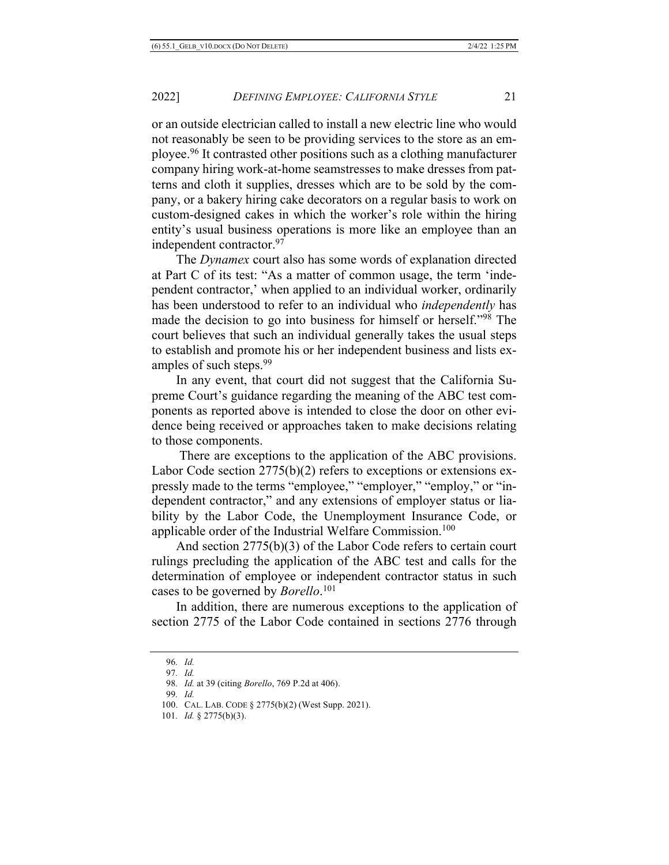or an outside electrician called to install a new electric line who would not reasonably be seen to be providing services to the store as an employee.96 It contrasted other positions such as a clothing manufacturer company hiring work-at-home seamstresses to make dresses from patterns and cloth it supplies, dresses which are to be sold by the company, or a bakery hiring cake decorators on a regular basis to work on custom-designed cakes in which the worker's role within the hiring entity's usual business operations is more like an employee than an independent contractor.97

The *Dynamex* court also has some words of explanation directed at Part C of its test: "As a matter of common usage, the term 'independent contractor,' when applied to an individual worker, ordinarily has been understood to refer to an individual who *independently* has made the decision to go into business for himself or herself."98 The court believes that such an individual generally takes the usual steps to establish and promote his or her independent business and lists examples of such steps.<sup>99</sup>

In any event, that court did not suggest that the California Supreme Court's guidance regarding the meaning of the ABC test components as reported above is intended to close the door on other evidence being received or approaches taken to make decisions relating to those components.

There are exceptions to the application of the ABC provisions. Labor Code section 2775(b)(2) refers to exceptions or extensions expressly made to the terms "employee," "employer," "employ," or "independent contractor," and any extensions of employer status or liability by the Labor Code, the Unemployment Insurance Code, or applicable order of the Industrial Welfare Commission.<sup>100</sup>

And section 2775(b)(3) of the Labor Code refers to certain court rulings precluding the application of the ABC test and calls for the determination of employee or independent contractor status in such cases to be governed by *Borello*. 101

In addition, there are numerous exceptions to the application of section 2775 of the Labor Code contained in sections 2776 through

<sup>96</sup>*. Id.*

<sup>97</sup>*. Id.*

<sup>98</sup>*. Id.* at 39 (citing *Borello*, 769 P.2d at 406).

<sup>99</sup>*. Id.*

<sup>100.</sup> CAL. LAB. CODE § 2775(b)(2) (West Supp. 2021).

<sup>101</sup>*. Id.* § 2775(b)(3).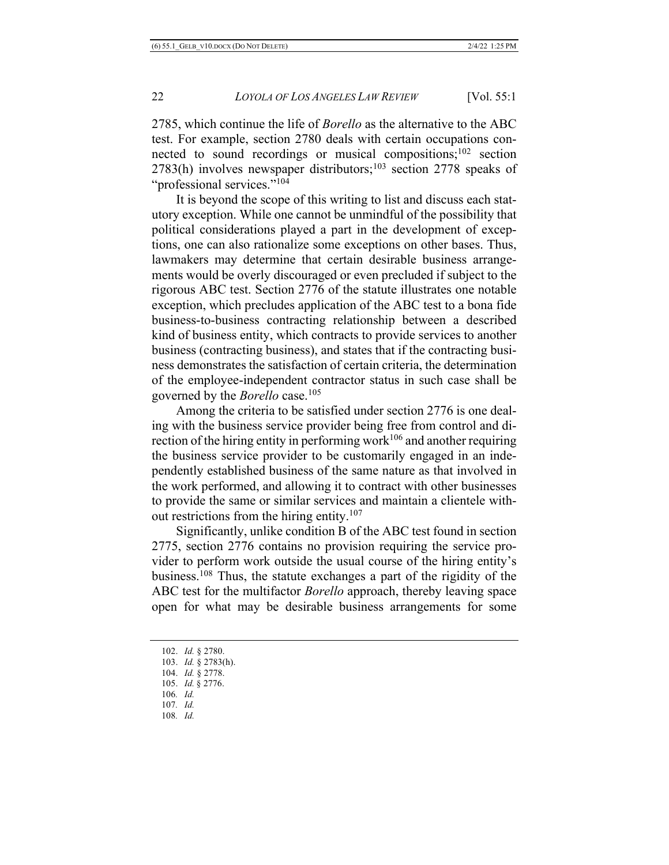2785, which continue the life of *Borello* as the alternative to the ABC test. For example, section 2780 deals with certain occupations connected to sound recordings or musical compositions; $102$  section  $2783(h)$  involves newspaper distributors;<sup>103</sup> section 2778 speaks of "professional services."<sup>104</sup>

It is beyond the scope of this writing to list and discuss each statutory exception. While one cannot be unmindful of the possibility that political considerations played a part in the development of exceptions, one can also rationalize some exceptions on other bases. Thus, lawmakers may determine that certain desirable business arrangements would be overly discouraged or even precluded if subject to the rigorous ABC test. Section 2776 of the statute illustrates one notable exception, which precludes application of the ABC test to a bona fide business-to-business contracting relationship between a described kind of business entity, which contracts to provide services to another business (contracting business), and states that if the contracting business demonstrates the satisfaction of certain criteria, the determination of the employee-independent contractor status in such case shall be governed by the *Borello* case.105

Among the criteria to be satisfied under section 2776 is one dealing with the business service provider being free from control and direction of the hiring entity in performing work<sup>106</sup> and another requiring the business service provider to be customarily engaged in an independently established business of the same nature as that involved in the work performed, and allowing it to contract with other businesses to provide the same or similar services and maintain a clientele without restrictions from the hiring entity.107

Significantly, unlike condition B of the ABC test found in section 2775, section 2776 contains no provision requiring the service provider to perform work outside the usual course of the hiring entity's business.108 Thus, the statute exchanges a part of the rigidity of the ABC test for the multifactor *Borello* approach, thereby leaving space open for what may be desirable business arrangements for some

<sup>102.</sup> *Id.* § 2780.

<sup>103.</sup> *Id.* § 2783(h).

<sup>104.</sup> *Id.* § 2778.

<sup>105.</sup> *Id.* § 2776.

<sup>106</sup>*. Id.*

<sup>107</sup>*. Id.*

<sup>108</sup>*. Id.*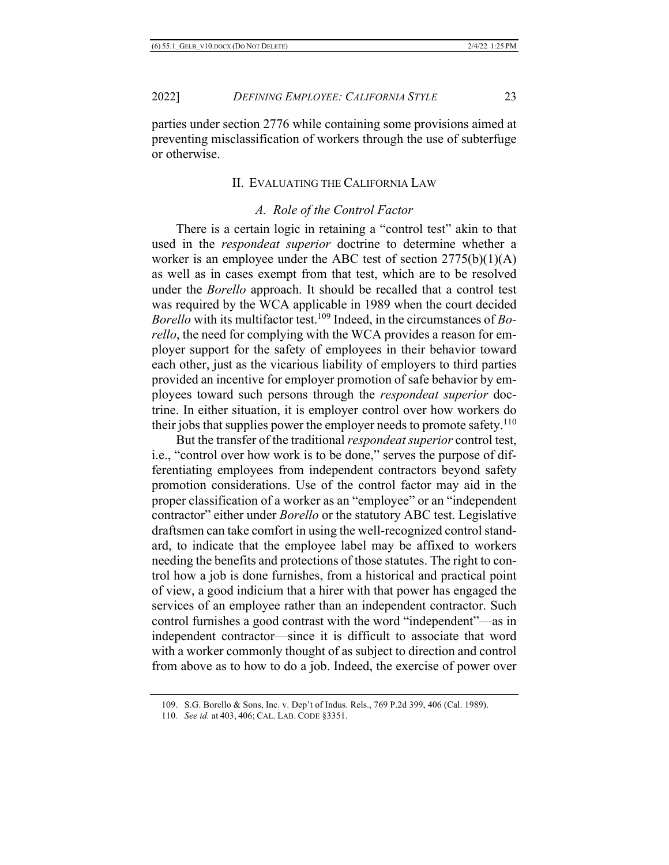parties under section 2776 while containing some provisions aimed at preventing misclassification of workers through the use of subterfuge or otherwise.

#### II. EVALUATING THE CALIFORNIA LAW

# *A. Role of the Control Factor*

There is a certain logic in retaining a "control test" akin to that used in the *respondeat superior* doctrine to determine whether a worker is an employee under the ABC test of section  $2775(b)(1)(A)$ as well as in cases exempt from that test, which are to be resolved under the *Borello* approach. It should be recalled that a control test was required by the WCA applicable in 1989 when the court decided *Borello* with its multifactor test.109 Indeed, in the circumstances of *Borello*, the need for complying with the WCA provides a reason for employer support for the safety of employees in their behavior toward each other, just as the vicarious liability of employers to third parties provided an incentive for employer promotion of safe behavior by employees toward such persons through the *respondeat superior* doctrine. In either situation, it is employer control over how workers do their jobs that supplies power the employer needs to promote safety.<sup>110</sup>

But the transfer of the traditional *respondeat superior* control test, i.e., "control over how work is to be done," serves the purpose of differentiating employees from independent contractors beyond safety promotion considerations. Use of the control factor may aid in the proper classification of a worker as an "employee" or an "independent contractor" either under *Borello* or the statutory ABC test. Legislative draftsmen can take comfort in using the well-recognized control standard, to indicate that the employee label may be affixed to workers needing the benefits and protections of those statutes. The right to control how a job is done furnishes, from a historical and practical point of view, a good indicium that a hirer with that power has engaged the services of an employee rather than an independent contractor. Such control furnishes a good contrast with the word "independent"—as in independent contractor—since it is difficult to associate that word with a worker commonly thought of as subject to direction and control from above as to how to do a job. Indeed, the exercise of power over

<sup>109.</sup> S.G. Borello & Sons, Inc. v. Dep't of Indus. Rels., 769 P.2d 399, 406 (Cal. 1989).

<sup>110</sup>*. See id.* at 403, 406; CAL. LAB. CODE §3351.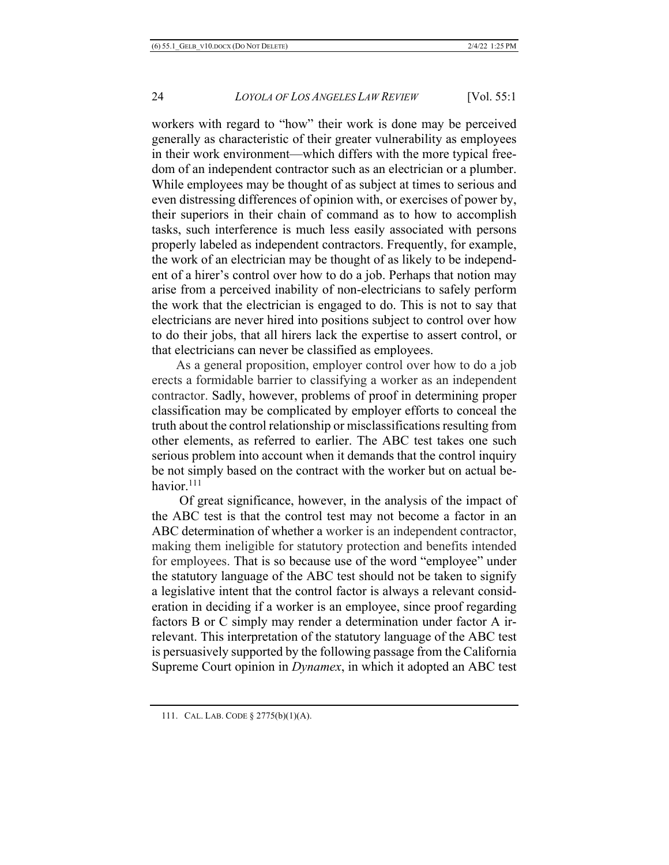workers with regard to "how" their work is done may be perceived generally as characteristic of their greater vulnerability as employees in their work environment—which differs with the more typical freedom of an independent contractor such as an electrician or a plumber. While employees may be thought of as subject at times to serious and even distressing differences of opinion with, or exercises of power by, their superiors in their chain of command as to how to accomplish tasks, such interference is much less easily associated with persons properly labeled as independent contractors. Frequently, for example, the work of an electrician may be thought of as likely to be independent of a hirer's control over how to do a job. Perhaps that notion may arise from a perceived inability of non-electricians to safely perform the work that the electrician is engaged to do. This is not to say that electricians are never hired into positions subject to control over how to do their jobs, that all hirers lack the expertise to assert control, or that electricians can never be classified as employees.

As a general proposition, employer control over how to do a job erects a formidable barrier to classifying a worker as an independent contractor. Sadly, however, problems of proof in determining proper classification may be complicated by employer efforts to conceal the truth about the control relationship or misclassifications resulting from other elements, as referred to earlier. The ABC test takes one such serious problem into account when it demands that the control inquiry be not simply based on the contract with the worker but on actual behavior.111

Of great significance, however, in the analysis of the impact of the ABC test is that the control test may not become a factor in an ABC determination of whether a worker is an independent contractor, making them ineligible for statutory protection and benefits intended for employees. That is so because use of the word "employee" under the statutory language of the ABC test should not be taken to signify a legislative intent that the control factor is always a relevant consideration in deciding if a worker is an employee, since proof regarding factors B or C simply may render a determination under factor A irrelevant. This interpretation of the statutory language of the ABC test is persuasively supported by the following passage from the California Supreme Court opinion in *Dynamex*, in which it adopted an ABC test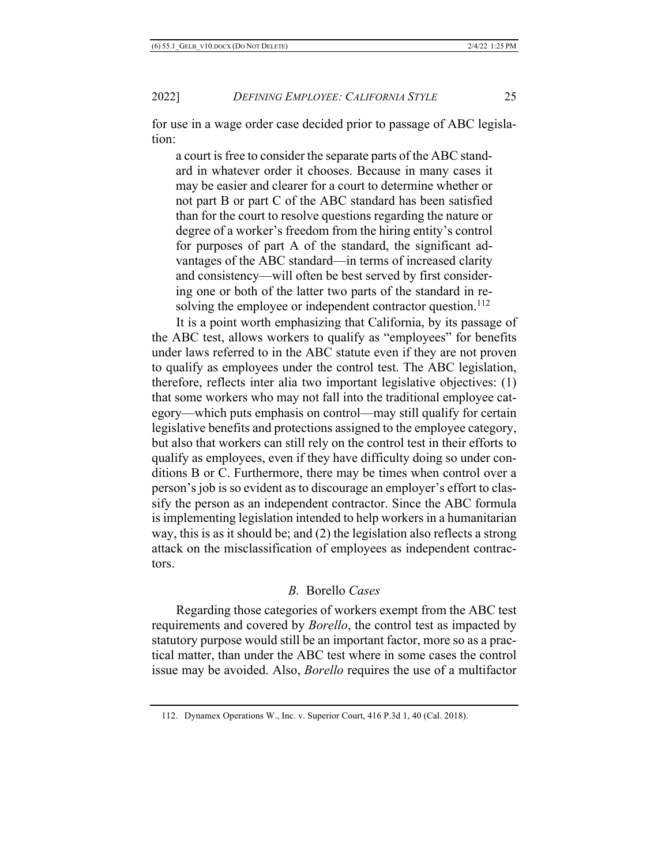for use in a wage order case decided prior to passage of ABC legislation:

a court is free to consider the separate parts of the ABC standard in whatever order it chooses. Because in many cases it may be easier and clearer for a court to determine whether or not part B or part C of the ABC standard has been satisfied than for the court to resolve questions regarding the nature or degree of a worker's freedom from the hiring entity's control for purposes of part A of the standard, the significant advantages of the ABC standard—in terms of increased clarity and consistency—will often be best served by first considering one or both of the latter two parts of the standard in resolving the employee or independent contractor question.<sup>112</sup>

It is a point worth emphasizing that California, by its passage of the ABC test, allows workers to qualify as "employees" for benefits under laws referred to in the ABC statute even if they are not proven to qualify as employees under the control test. The ABC legislation, therefore, reflects inter alia two important legislative objectives: (1) that some workers who may not fall into the traditional employee category—which puts emphasis on control—may still qualify for certain legislative benefits and protections assigned to the employee category, but also that workers can still rely on the control test in their efforts to qualify as employees, even if they have difficulty doing so under conditions B or C. Furthermore, there may be times when control over a person's job is so evident as to discourage an employer's effort to classify the person as an independent contractor. Since the ABC formula is implementing legislation intended to help workers in a humanitarian way, this is as it should be; and (2) the legislation also reflects a strong attack on the misclassification of employees as independent contractors.

#### *B.* Borello *Cases*

Regarding those categories of workers exempt from the ABC test requirements and covered by *Borello*, the control test as impacted by statutory purpose would still be an important factor, more so as a practical matter, than under the ABC test where in some cases the control issue may be avoided. Also, *Borello* requires the use of a multifactor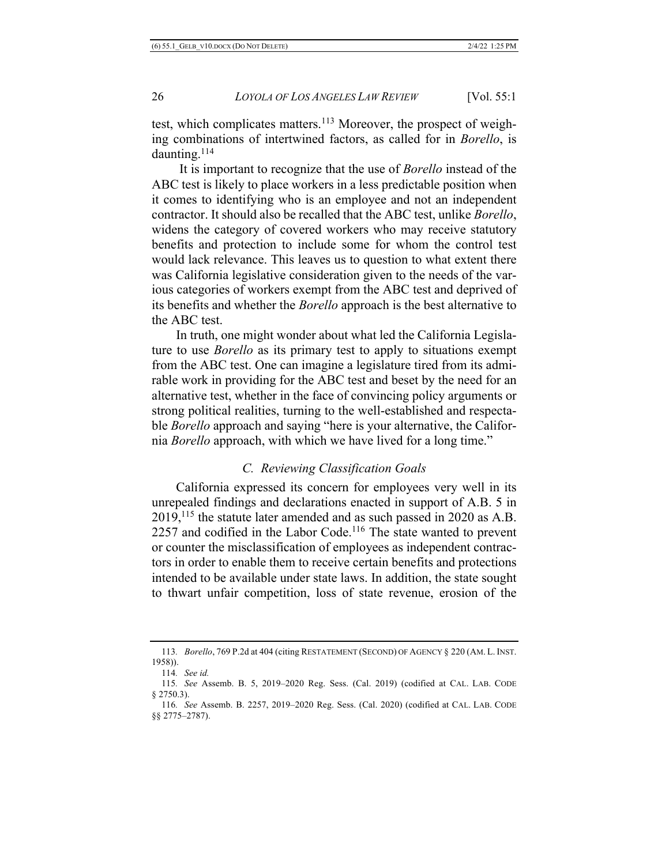test, which complicates matters.113 Moreover, the prospect of weighing combinations of intertwined factors, as called for in *Borello*, is daunting.<sup>114</sup>

It is important to recognize that the use of *Borello* instead of the ABC test is likely to place workers in a less predictable position when it comes to identifying who is an employee and not an independent contractor. It should also be recalled that the ABC test, unlike *Borello*, widens the category of covered workers who may receive statutory benefits and protection to include some for whom the control test would lack relevance. This leaves us to question to what extent there was California legislative consideration given to the needs of the various categories of workers exempt from the ABC test and deprived of its benefits and whether the *Borello* approach is the best alternative to the ABC test.

In truth, one might wonder about what led the California Legislature to use *Borello* as its primary test to apply to situations exempt from the ABC test. One can imagine a legislature tired from its admirable work in providing for the ABC test and beset by the need for an alternative test, whether in the face of convincing policy arguments or strong political realities, turning to the well-established and respectable *Borello* approach and saying "here is your alternative, the California *Borello* approach, with which we have lived for a long time."

# *C. Reviewing Classification Goals*

California expressed its concern for employees very well in its unrepealed findings and declarations enacted in support of A.B. 5 in 2019,115 the statute later amended and as such passed in 2020 as A.B.  $2257$  and codified in the Labor Code.<sup>116</sup> The state wanted to prevent or counter the misclassification of employees as independent contractors in order to enable them to receive certain benefits and protections intended to be available under state laws. In addition, the state sought to thwart unfair competition, loss of state revenue, erosion of the

<sup>113</sup>*. Borello*, 769 P.2d at 404 (citing RESTATEMENT (SECOND) OF AGENCY § 220 (AM. L. INST. 1958)).

<sup>114</sup>*. See id.*

<sup>115</sup>*. See* Assemb. B. 5, 2019–2020 Reg. Sess. (Cal. 2019) (codified at CAL. LAB. CODE § 2750.3).

<sup>116</sup>*. See* Assemb. B. 2257, 2019–2020 Reg. Sess. (Cal. 2020) (codified at CAL. LAB. CODE §§ 2775–2787).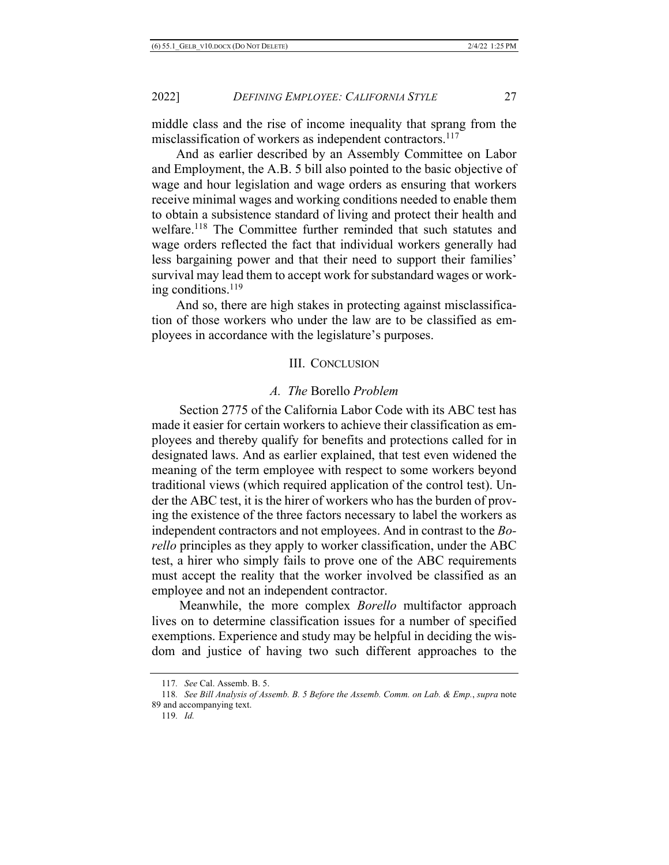middle class and the rise of income inequality that sprang from the misclassification of workers as independent contractors.<sup>117</sup>

And as earlier described by an Assembly Committee on Labor and Employment, the A.B. 5 bill also pointed to the basic objective of wage and hour legislation and wage orders as ensuring that workers receive minimal wages and working conditions needed to enable them to obtain a subsistence standard of living and protect their health and welfare.<sup>118</sup> The Committee further reminded that such statutes and wage orders reflected the fact that individual workers generally had less bargaining power and that their need to support their families' survival may lead them to accept work for substandard wages or working conditions.119

And so, there are high stakes in protecting against misclassification of those workers who under the law are to be classified as employees in accordance with the legislature's purposes.

#### III. CONCLUSION

#### *A. The* Borello *Problem*

Section 2775 of the California Labor Code with its ABC test has made it easier for certain workers to achieve their classification as employees and thereby qualify for benefits and protections called for in designated laws. And as earlier explained, that test even widened the meaning of the term employee with respect to some workers beyond traditional views (which required application of the control test). Under the ABC test, it is the hirer of workers who has the burden of proving the existence of the three factors necessary to label the workers as independent contractors and not employees. And in contrast to the *Borello* principles as they apply to worker classification, under the ABC test, a hirer who simply fails to prove one of the ABC requirements must accept the reality that the worker involved be classified as an employee and not an independent contractor.

Meanwhile, the more complex *Borello* multifactor approach lives on to determine classification issues for a number of specified exemptions. Experience and study may be helpful in deciding the wisdom and justice of having two such different approaches to the

<sup>117</sup>*. See* Cal. Assemb. B. 5.

<sup>118</sup>*. See Bill Analysis of Assemb. B. 5 Before the Assemb. Comm. on Lab. & Emp.*, *supra* note 89 and accompanying text.